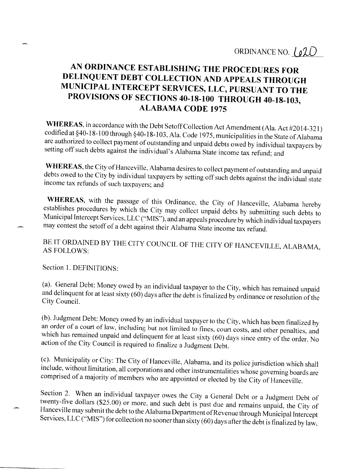## AN ORDINANCE ESTABLISHING THE PROCEDURES FOR<br>DELINQUENT DEBT COLLECTION AND APPEALS THROUGH<br>MUNICIPAL INTERCEPT SERVICES, LLC, PURSUANT TO THE<br>PROVISIONS OF SECTIONS 40-18-100 THROUGH 40-18-103, ALABAMA CODE 1975

WHEREAS, in accordance with the Debt Setoff Collection Act Amendment (Ala. Act #2014-321) codified at §40-18-100 through \$40-18-103, Ala. Code 1975, municipalities in the State of Alabama are authorized to collect payment of outstanding and unpaid debts owed by individual taxpayers by setting off such debts against the individual's Alabama State income tax refund; and

WHEREAS, the City of Hanceville, Alabama desires to collect payment of outstanding and unpaid debts owed to the City by individual taxpayers by setting off such debts against the individual state income tax refunds of such

WHEREAS, with the passage of this Ordinance, the City of Hanceville, Alabama hereby establishes procedures by which the City may collect unpaid debts by submitting such debts to Municipal Intercept Services, LLC ("MIS"), a

BE IT ORDAINED BY THE CITY COUNCIL OF THE CITY OF HANCEVILLE, ALABAMA, AS FOLLOWS:

Section l. DEFINITIONS:

(a)' General Debt: Money owed by an individual taxpayer to the city, which has remained unpaid and delinquent for at least sixtv (60) days after the debi is finalized by ordinance or resolution of the City Council.

(b). Judgment Debt: Money owed by an individual taxpayer to the City, which has been finalized by an order of a court of law, including but not limited to fines, court costs, and other penalties, and which has remained unp

(c). Municipality or City: The City of Hanceville, Alabama, and its police jurisdiction which shall include, without limitation, all corporations and other instrumentalities whose governing boards are comprised of a majori

Section 2. When an individual taxpayer owes the City a General Debt or a Judgment Debt of twenty-five dollars (\$25.00) or more, and such debt is past due and remains unpaid, the City of Hanceville may submit the debt to th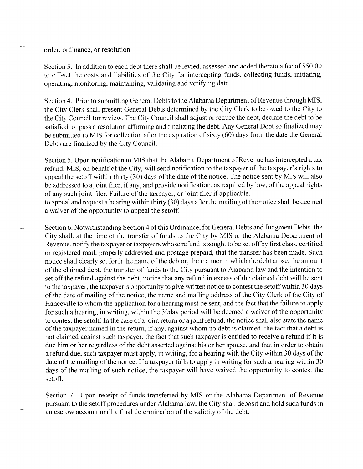order, ordinance, or resolution.

Section 3. In addition to each debt there shall be levied, assessed and added thereto a fee of \$50.00 to off-set the costs and liabilities of the City for intercepting funds, collecting funds, initiating, operating, monitoring, maintaining, validating and verifying data.

Section 4. Prior to submitting General Debts to the Alabama Department of Revenue through MIS, the City Clerk shall present General Debts determined by the City Clerk to be owed to the City to the City Council for review. The City Council shall adjust or reduce the debt, declare the debt to be satisfied, or pass a resolution affirming and finalizing the debt. Any General Debt so finalized may be submitted to MIS for collection after the expiration of sixty (60) days from the date the General Debts are finalized by the City Council.

Section 5. Upon notification to MIS that the Alabama Department of Revenue has intercepted a tax refund, MlS, on behalf of the City, will send notification to the taxpayer of the taxpayer's rights to appeal the setoff within thirty (30) days of the date of the notice. The notice sent by MIS will also be addressed to a joint filer, if any, and provide notification, as required by law, of the appeal rights of any such joint filer. Failure of the taxpayer, or joint filer if applicable,

to appeal and request a hearing within thirty (30) days after the mailing of the notice shall be deemed a waiver of the opportunity to appeal the setoff.

Section 6. Notwithstanding Section 4 of this Ordinance, for General Debts and Judgment Debts, the City shall, at the time of the transfer of funds to the City by MIS or the Alabama Department of Revenue, notify the taxpayer or taxpayers whose refund is sought to be set off by first class, certified or registered mail, properly addressed and postage prepaid, that the transfer has been made. Such notice shall clearly set forth the name of the debtor, the manner in which the debt arose, the amount of the claimed debt, the transfer of funds to the City pursuant to Alabama law and the intention to set off the refund against the debt, notice that any refund in excess of the claimed debt will be sent to the taxpayer, the taxpayer's opportunity to give written notice to contest the setoff within 30 days of the date of mailing of the notice, the name and mailing address of the City Clerk of the City of Hanceville to whom the application for a hearing must be sent, and the fact that the failure to apply for such a hearing, in writing, within the 30day period will be deemed a waiver of the opportunity to contest the setoff. In the case of ajoint return or a joint refund, the notice shall also state the name of the taxpayer named in the retum, if any, against whom no debt is claimed, the fact that a debt is not claimed against such taxpayer, the fact that such taxpayer is entitled to receive a refund if it is due him or her regardless of the debt asserted against his or her spouse, and that in order to obtain a refund due, such taxpayer must apply, in writing, for a hearing with the City within 30 days of the date of the mailing of the notice. If a taxpayer fails to apply in writing for such a hearing within 30 days of the mailing of such notice, the taxpayer will have waived the opportunity to contest the setoff.

Section 7. Upon receipt of funds transferred by MIS or the Alabama Department of Revenue pursuant to the setoff procedures under Alabama law, the City shall deposit and hold such funds in an escrow account until a final determination of the validity of the debt.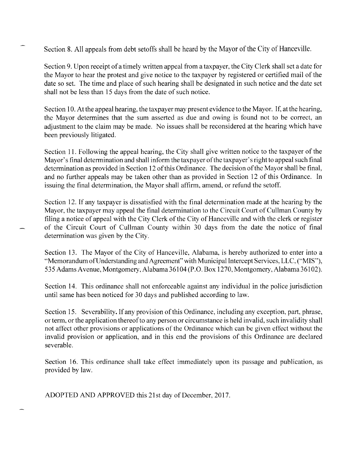Section 8. All appeals from debt setoffs shall be heard by the Mayor of the City of Hanceville.

Section 9. Upon receipt of a timely written appeal from a taxpayer, the City Clerk shall set a date for the Mayor to hear the protest and give notice to the taxpayer by registered or certified mail of the date so set. The time and place of such hearing shall be designated in such notice and the date set shall not be less than 15 days from the date of such notice.

Section 10. At the appeal hearing, the taxpayer may present evidence to the Mayor. If, at the hearing, the Mayor determines that the sum asserted as due and owing is found not to be correct, an adjustment to the claim may be made. No issues shall be reconsidered at the hearing which have been previously litigated.

Section 11. Following the appeal hearing, the City shall give written notice to the taxpayer of the Mayor's final determination and shall inform the taxpayer of the taxpayer's right to appeal such final determination as provided in Section 12 of this Ordinance. The decision of the Mayor shall be final, and no further appeals may be taken other than as provided in Section 12 of this Ordinance. In issuing the final determination, the Mayor shall affirm, amend, or refund the setoff.

Section 12.If any taxpayer is dissatisfied with the final determination made at the hearing by the Mayor, the taxpayer may appeal the final determination to the Circuit Court of Cullman County by filing a notice of appeal with the City Clerk of the City of Hanceville and with the clerk or register of the Circuit Court of Cullman County within 30 days from the date the notice of final determination was given by the City.

Section 13. The Mayor of the City of Hanceville, Alabama, is hereby authorized to enter into a "Memorandum ofUnderstanding and Agreement" with Municipal Intercept Services, LLC, ("MIS"), 535 Adams Avenue, Montgomery, Alabama36l04 (P.O. Box 1270, Montgomery, Alabama36102).

Section 14. This ordinance shall not enforceable against any individual in the police jurisdiction until same has been noticed for 30 days and published according to law.

Section 15. Severability. If any provision of this Ordinance, including any exception, part, phrase, or term, or the application thereof to any person or circumstance is held invalid, such invalidity shall not affect other provisions or applications of the Ordinance which can be given effect without the invalid provision or application, and in this end the provisions of this Ordinance are declared severable.

Section 16. This ordinance shall take effect immediately upon its passage and publication, as provided by law.

ADOPTED AND APPROVED this 21st day of December,2017.